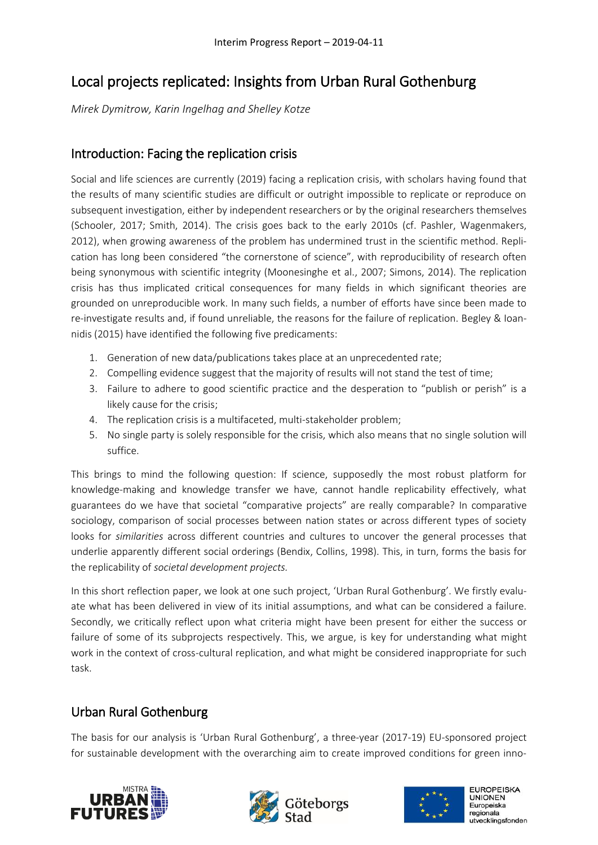# Local projects replicated: Insights from Urban Rural Gothenburg

*Mirek Dymitrow, Karin Ingelhag and Shelley Kotze*

### Introduction: Facing the replication crisis

Social and life sciences are currently (2019) facing a replication crisis, with scholars having found that the results of many scientific studies are difficult or outright impossible to replicate or reproduce on subsequent investigation, either by independent researchers or by the original researchers themselves (Schooler, 2017; Smith, 2014). The crisis goes back to the early 2010s (cf. Pashler, Wagenmakers, 2012), when growing awareness of the problem has undermined trust in the scientific method. Replication has long been considered "the cornerstone of science", with reproducibility of research often being synonymous with scientific integrity (Moonesinghe et al., 2007; Simons, 2014). The replication crisis has thus implicated critical consequences for many fields in which significant theories are grounded on unreproducible work. In many such fields, a number of efforts have since been made to re-investigate results and, if found unreliable, the reasons for the failure of replication. Begley & Ioannidis (2015) have identified the following five predicaments:

- 1. Generation of new data/publications takes place at an unprecedented rate;
- 2. Compelling evidence suggest that the majority of results will not stand the test of time;
- 3. Failure to adhere to good scientific practice and the desperation to "publish or perish" is a likely cause for the crisis;
- 4. The replication crisis is a multifaceted, multi-stakeholder problem;
- 5. No single party is solely responsible for the crisis, which also means that no single solution will suffice.

This brings to mind the following question: If science, supposedly the most robust platform for knowledge-making and knowledge transfer we have, cannot handle replicability effectively, what guarantees do we have that societal "comparative projects" are really comparable? In comparative sociology, comparison of social processes between nation states or across different types of society looks for *similarities* across different countries and cultures to uncover the general processes that underlie apparently different social orderings (Bendix, Collins, 1998). This, in turn, forms the basis for the replicability of *societal development projects.*

In this short reflection paper, we look at one such project, 'Urban Rural Gothenburg'. We firstly evaluate what has been delivered in view of its initial assumptions, and what can be considered a failure. Secondly, we critically reflect upon what criteria might have been present for either the success or failure of some of its subprojects respectively. This, we argue, is key for understanding what might work in the context of cross-cultural replication, and what might be considered inappropriate for such task.

## Urban Rural Gothenburg

The basis for our analysis is 'Urban Rural Gothenburg', a three-year (2017-19) EU-sponsored project for sustainable development with the overarching aim to create improved conditions for green inno-





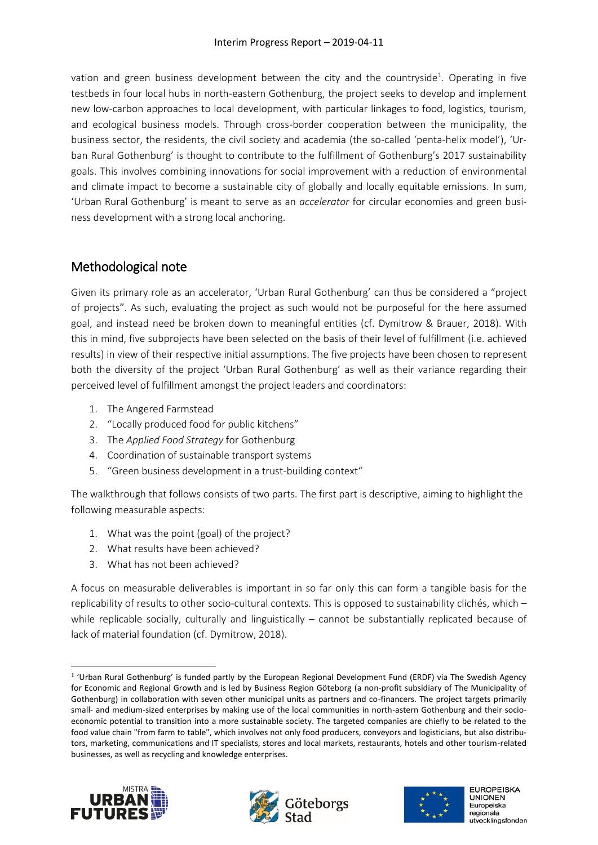vation and green business development between the city and the countryside<sup>1</sup>. Operating in five testbeds in four local hubs in north-eastern Gothenburg, the project seeks to develop and implement new low-carbon approaches to local development, with particular linkages to food, logistics, tourism, and ecological business models. Through cross-border cooperation between the municipality, the business sector, the residents, the civil society and academia (the so-called 'penta-helix model'), 'Urban Rural Gothenburg' is thought to contribute to the fulfillment of Gothenburg's 2017 sustainability goals. This involves combining innovations for social improvement with a reduction of environmental and climate impact to become a sustainable city of globally and locally equitable emissions. In sum, 'Urban Rural Gothenburg' is meant to serve as an *accelerator* for circular economies and green business development with a strong local anchoring.

## Methodological note

Given its primary role as an accelerator, 'Urban Rural Gothenburg' can thus be considered a "project of projects". As such, evaluating the project as such would not be purposeful for the here assumed goal, and instead need be broken down to meaningful entities (cf. Dymitrow & Brauer, 2018). With this in mind, five subprojects have been selected on the basis of their level of fulfillment (i.e. achieved results) in view of their respective initial assumptions. The five projects have been chosen to represent both the diversity of the project 'Urban Rural Gothenburg' as well as their variance regarding their perceived level of fulfillment amongst the project leaders and coordinators:

- 1. The Angered Farmstead
- 2. "Locally produced food for public kitchens"
- 3. The *Applied Food Strategy* for Gothenburg
- 4. Coordination of sustainable transport systems
- 5. "Green business development in a trust-building context"

The walkthrough that follows consists of two parts. The first part is descriptive, aiming to highlight the following measurable aspects:

- 1. What was the point (goal) of the project?
- 2. What results have been achieved?
- 3. What has not been achieved?

A focus on measurable deliverables is important in so far only this can form a tangible basis for the replicability of results to other socio-cultural contexts. This is opposed to sustainability clichés, which – while replicable socially, culturally and linguistically - cannot be substantially replicated because of lack of material foundation (cf. Dymitrow, 2018).

<sup>1</sup> <sup>1</sup> 'Urban Rural Gothenburg' is funded partly by the European Regional Development Fund (ERDF) via The Swedish Agency for Economic and Regional Growth and is led by Business Region Göteborg (a non-profit subsidiary of The Municipality of Gothenburg) in collaboration with seven other municipal units as partners and co-financers. The project targets primarily small- and medium-sized enterprises by making use of the local communities in north-astern Gothenburg and their socioeconomic potential to transition into a more sustainable society. The targeted companies are chiefly to be related to the food value chain "from farm to table", which involves not only food producers, conveyors and logisticians, but also distributors, marketing, communications and IT specialists, stores and local markets, restaurants, hotels and other tourism-related businesses, as well as recycling and knowledge enterprises.





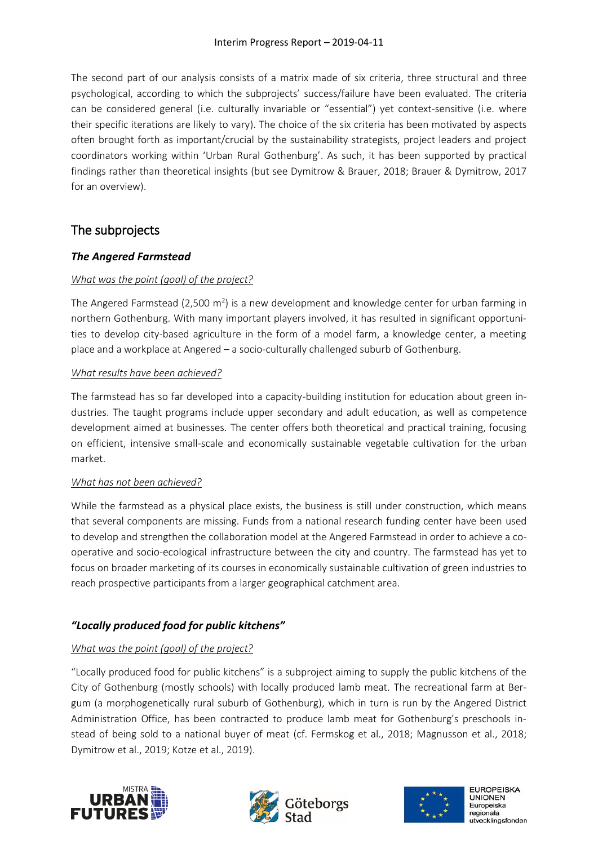The second part of our analysis consists of a matrix made of six criteria, three structural and three psychological, according to which the subprojects' success/failure have been evaluated. The criteria can be considered general (i.e. culturally invariable or "essential") yet context-sensitive (i.e. where their specific iterations are likely to vary). The choice of the six criteria has been motivated by aspects often brought forth as important/crucial by the sustainability strategists, project leaders and project coordinators working within 'Urban Rural Gothenburg'. As such, it has been supported by practical findings rather than theoretical insights (but see Dymitrow & Brauer, 2018; Brauer & Dymitrow, 2017 for an overview).

## The subprojects

### *The Angered Farmstead*

### *What was the point (goal) of the project?*

The Angered Farmstead (2,500 m<sup>2</sup>) is a new development and knowledge center for urban farming in northern Gothenburg. With many important players involved, it has resulted in significant opportunities to develop city-based agriculture in the form of a model farm, a knowledge center, a meeting place and a workplace at Angered – a socio-culturally challenged suburb of Gothenburg.

#### *What results have been achieved?*

The farmstead has so far developed into a capacity-building institution for education about green industries. The taught programs include upper secondary and adult education, as well as competence development aimed at businesses. The center offers both theoretical and practical training, focusing on efficient, intensive small-scale and economically sustainable vegetable cultivation for the urban market.

#### *What has not been achieved?*

While the farmstead as a physical place exists, the business is still under construction, which means that several components are missing. Funds from a national research funding center have been used to develop and strengthen the collaboration model at the Angered Farmstead in order to achieve a cooperative and socio-ecological infrastructure between the city and country. The farmstead has yet to focus on broader marketing of its courses in economically sustainable cultivation of green industries to reach prospective participants from a larger geographical catchment area.

### *"Locally produced food for public kitchens"*

### *What was the point (goal) of the project?*

"Locally produced food for public kitchens" is a subproject aiming to supply the public kitchens of the City of Gothenburg (mostly schools) with locally produced lamb meat. The recreational farm at Bergum (a morphogenetically rural suburb of Gothenburg), which in turn is run by the Angered District Administration Office, has been contracted to produce lamb meat for Gothenburg's preschools instead of being sold to a national buyer of meat (cf. Fermskog et al., 2018; Magnusson et al., 2018; Dymitrow et al., 2019; Kotze et al., 2019).





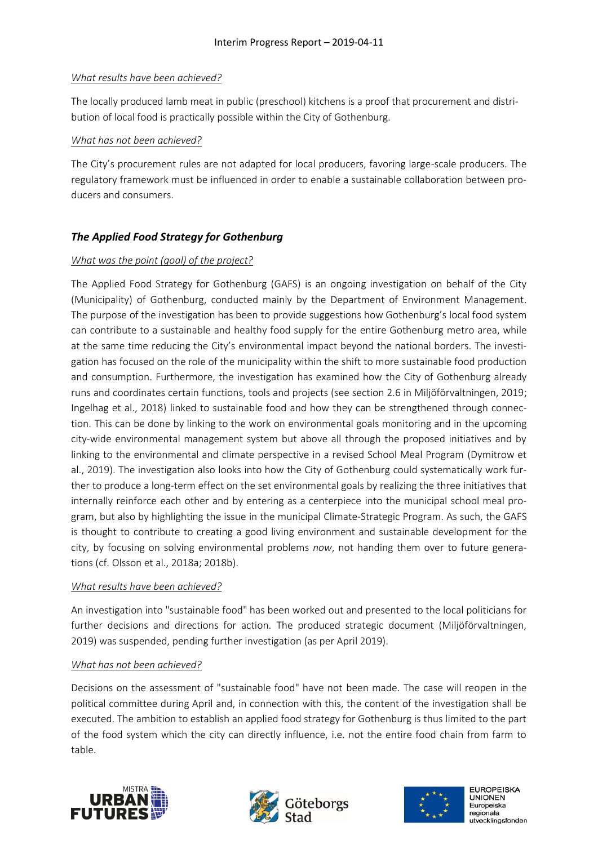#### *What results have been achieved?*

The locally produced lamb meat in public (preschool) kitchens is a proof that procurement and distribution of local food is practically possible within the City of Gothenburg.

#### *What has not been achieved?*

The City's procurement rules are not adapted for local producers, favoring large-scale producers. The regulatory framework must be influenced in order to enable a sustainable collaboration between producers and consumers.

### *The Applied Food Strategy for Gothenburg*

#### *What was the point (goal) of the project?*

The Applied Food Strategy for Gothenburg (GAFS) is an ongoing investigation on behalf of the City (Municipality) of Gothenburg, conducted mainly by the Department of Environment Management. The purpose of the investigation has been to provide suggestions how Gothenburg's local food system can contribute to a sustainable and healthy food supply for the entire Gothenburg metro area, while at the same time reducing the City's environmental impact beyond the national borders. The investigation has focused on the role of the municipality within the shift to more sustainable food production and consumption. Furthermore, the investigation has examined how the City of Gothenburg already runs and coordinates certain functions, tools and projects (see section 2.6 in Miljöförvaltningen, 2019; Ingelhag et al., 2018) linked to sustainable food and how they can be strengthened through connection. This can be done by linking to the work on environmental goals monitoring and in the upcoming city-wide environmental management system but above all through the proposed initiatives and by linking to the environmental and climate perspective in a revised School Meal Program (Dymitrow et al., 2019). The investigation also looks into how the City of Gothenburg could systematically work further to produce a long-term effect on the set environmental goals by realizing the three initiatives that internally reinforce each other and by entering as a centerpiece into the municipal school meal program, but also by highlighting the issue in the municipal Climate-Strategic Program. As such, the GAFS is thought to contribute to creating a good living environment and sustainable development for the city, by focusing on solving environmental problems *now*, not handing them over to future generations (cf. Olsson et al., 2018a; 2018b).

#### *What results have been achieved?*

An investigation into "sustainable food" has been worked out and presented to the local politicians for further decisions and directions for action. The produced strategic document (Miljöförvaltningen, 2019) was suspended, pending further investigation (as per April 2019).

#### *What has not been achieved?*

Decisions on the assessment of "sustainable food" have not been made. The case will reopen in the political committee during April and, in connection with this, the content of the investigation shall be executed. The ambition to establish an applied food strategy for Gothenburg is thus limited to the part of the food system which the city can directly influence, i.e. not the entire food chain from farm to table.





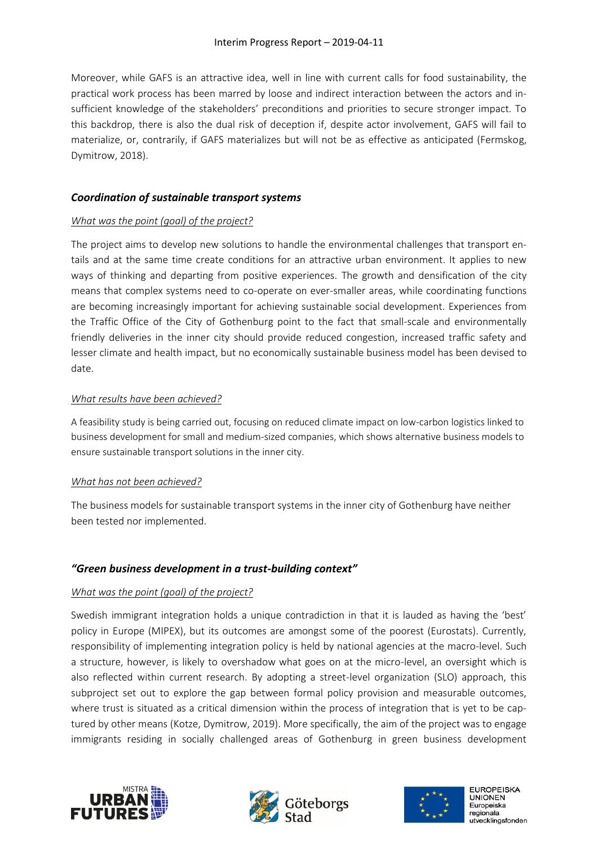Moreover, while GAFS is an attractive idea, well in line with current calls for food sustainability, the practical work process has been marred by loose and indirect interaction between the actors and insufficient knowledge of the stakeholders' preconditions and priorities to secure stronger impact. To this backdrop, there is also the dual risk of deception if, despite actor involvement, GAFS will fail to materialize, or, contrarily, if GAFS materializes but will not be as effective as anticipated (Fermskog, Dymitrow, 2018).

### *Coordination of sustainable transport systems*

#### *What was the point (goal) of the project?*

The project aims to develop new solutions to handle the environmental challenges that transport entails and at the same time create conditions for an attractive urban environment. It applies to new ways of thinking and departing from positive experiences. The growth and densification of the city means that complex systems need to co-operate on ever-smaller areas, while coordinating functions are becoming increasingly important for achieving sustainable social development. Experiences from the Traffic Office of the City of Gothenburg point to the fact that small-scale and environmentally friendly deliveries in the inner city should provide reduced congestion, increased traffic safety and lesser climate and health impact, but no economically sustainable business model has been devised to date.

#### *What results have been achieved?*

A feasibility study is being carried out, focusing on reduced climate impact on low-carbon logistics linked to business development for small and medium-sized companies, which shows alternative business models to ensure sustainable transport solutions in the inner city.

#### *What has not been achieved?*

The business models for sustainable transport systems in the inner city of Gothenburg have neither been tested nor implemented.

#### *"Green business development in a trust-building context"*

#### *What was the point (goal) of the project?*

Swedish immigrant integration holds a unique contradiction in that it is lauded as having the 'best' policy in Europe (MIPEX), but its outcomes are amongst some of the poorest (Eurostats). Currently, responsibility of implementing integration policy is held by national agencies at the macro-level. Such a structure, however, is likely to overshadow what goes on at the micro-level, an oversight which is also reflected within current research. By adopting a street-level organization (SLO) approach, this subproject set out to explore the gap between formal policy provision and measurable outcomes, where trust is situated as a critical dimension within the process of integration that is yet to be captured by other means (Kotze, Dymitrow, 2019). More specifically, the aim of the project was to engage immigrants residing in socially challenged areas of Gothenburg in green business development





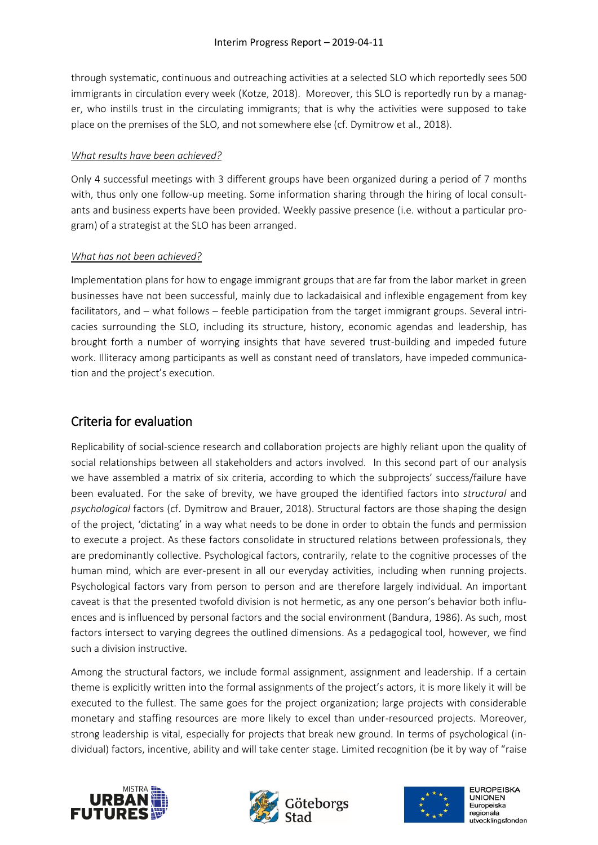through systematic, continuous and outreaching activities at a selected SLO which reportedly sees 500 immigrants in circulation every week (Kotze, 2018). Moreover, this SLO is reportedly run by a manager, who instills trust in the circulating immigrants; that is why the activities were supposed to take place on the premises of the SLO, and not somewhere else (cf. Dymitrow et al., 2018).

#### *What results have been achieved?*

Only 4 successful meetings with 3 different groups have been organized during a period of 7 months with, thus only one follow-up meeting. Some information sharing through the hiring of local consultants and business experts have been provided. Weekly passive presence (i.e. without a particular program) of a strategist at the SLO has been arranged.

#### *What has not been achieved?*

Implementation plans for how to engage immigrant groups that are far from the labor market in green businesses have not been successful, mainly due to lackadaisical and inflexible engagement from key facilitators, and – what follows – feeble participation from the target immigrant groups. Several intricacies surrounding the SLO, including its structure, history, economic agendas and leadership, has brought forth a number of worrying insights that have severed trust-building and impeded future work. Illiteracy among participants as well as constant need of translators, have impeded communication and the project's execution.

## Criteria for evaluation

Replicability of social-science research and collaboration projects are highly reliant upon the quality of social relationships between all stakeholders and actors involved. In this second part of our analysis we have assembled a matrix of six criteria, according to which the subprojects' success/failure have been evaluated. For the sake of brevity, we have grouped the identified factors into *structural* and *psychological* factors (cf. Dymitrow and Brauer, 2018). Structural factors are those shaping the design of the project, 'dictating' in a way what needs to be done in order to obtain the funds and permission to execute a project. As these factors consolidate in structured relations between professionals, they are predominantly collective. Psychological factors, contrarily, relate to the cognitive processes of the human mind, which are ever-present in all our everyday activities, including when running projects. Psychological factors vary from person to person and are therefore largely individual. An important caveat is that the presented twofold division is not hermetic, as any one person's behavior both influences and is influenced by personal factors and the social environment (Bandura, 1986). As such, most factors intersect to varying degrees the outlined dimensions. As a pedagogical tool, however, we find such a division instructive.

Among the structural factors, we include formal assignment, assignment and leadership. If a certain theme is explicitly written into the formal assignments of the project's actors, it is more likely it will be executed to the fullest. The same goes for the project organization; large projects with considerable monetary and staffing resources are more likely to excel than under-resourced projects. Moreover, strong leadership is vital, especially for projects that break new ground. In terms of psychological (individual) factors, incentive, ability and will take center stage. Limited recognition (be it by way of "raise





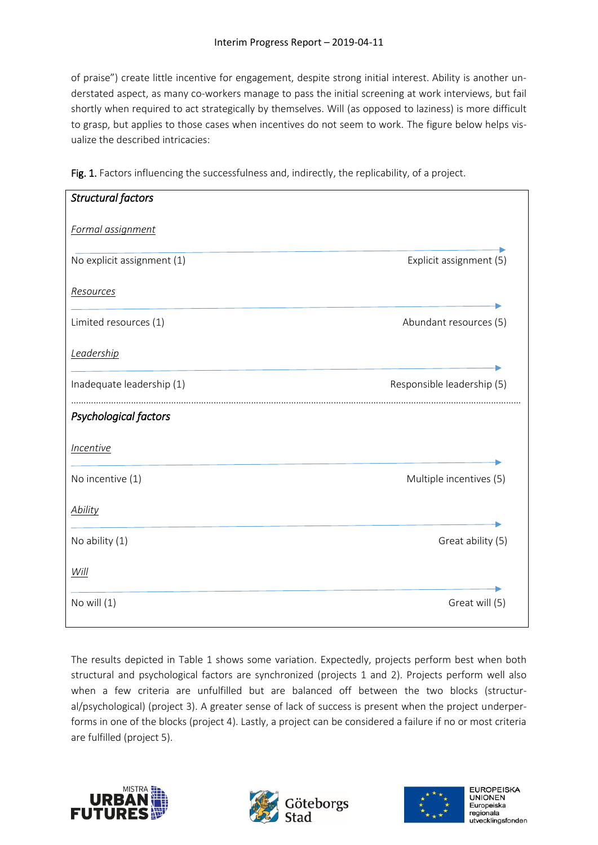of praise") create little incentive for engagement, despite strong initial interest. Ability is another understated aspect, as many co-workers manage to pass the initial screening at work interviews, but fail shortly when required to act strategically by themselves. Will (as opposed to laziness) is more difficult to grasp, but applies to those cases when incentives do not seem to work. The figure below helps visualize the described intricacies:

| <b>Structural factors</b>      |                            |
|--------------------------------|----------------------------|
| Formal assignment              |                            |
| No explicit assignment (1)     | Explicit assignment (5)    |
| Resources                      |                            |
| Limited resources (1)          | Abundant resources (5)     |
| Leadership                     |                            |
| Inadequate leadership (1)      | Responsible leadership (5) |
| Psychological factors          |                            |
| <i><u><b>Incentive</b></u></i> |                            |
| No incentive (1)               | Multiple incentives (5)    |
| <b>Ability</b>                 |                            |
| No ability (1)                 | Great ability (5)          |
| Will                           |                            |
| No will $(1)$                  | Great will (5)             |

Fig. 1. Factors influencing the successfulness and, indirectly, the replicability, of a project.

The results depicted in Table 1 shows some variation. Expectedly, projects perform best when both structural and psychological factors are synchronized (projects 1 and 2). Projects perform well also when a few criteria are unfulfilled but are balanced off between the two blocks (structural/psychological) (project 3). A greater sense of lack of success is present when the project underperforms in one of the blocks (project 4). Lastly, a project can be considered a failure if no or most criteria are fulfilled (project 5).





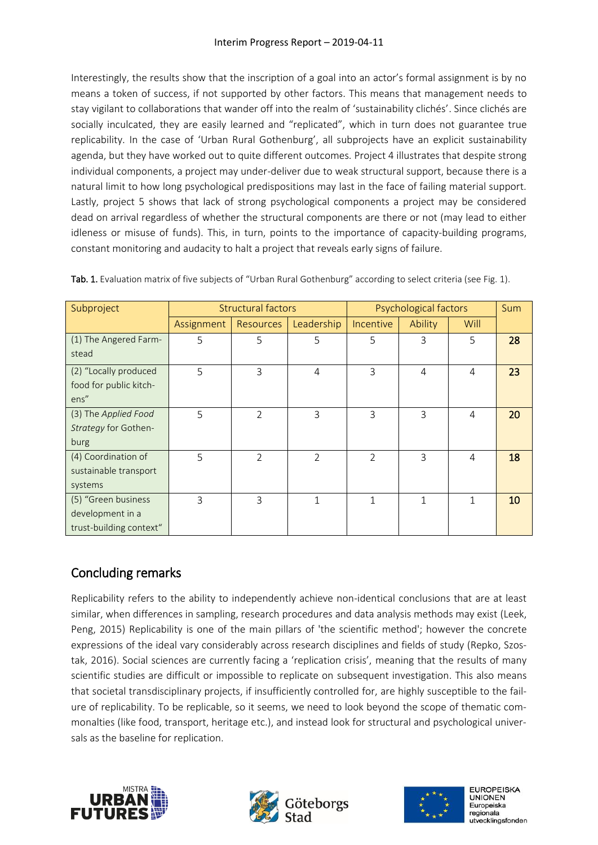Interestingly, the results show that the inscription of a goal into an actor's formal assignment is by no means a token of success, if not supported by other factors. This means that management needs to stay vigilant to collaborations that wander off into the realm of 'sustainability clichés'. Since clichés are socially inculcated, they are easily learned and "replicated", which in turn does not guarantee true replicability. In the case of 'Urban Rural Gothenburg', all subprojects have an explicit sustainability agenda, but they have worked out to quite different outcomes. Project 4 illustrates that despite strong individual components, a project may under-deliver due to weak structural support, because there is a natural limit to how long psychological predispositions may last in the face of failing material support. Lastly, project 5 shows that lack of strong psychological components a project may be considered dead on arrival regardless of whether the structural components are there or not (may lead to either idleness or misuse of funds). This, in turn, points to the importance of capacity-building programs, constant monitoring and audacity to halt a project that reveals early signs of failure.

| Subproject                                                         | <b>Structural factors</b> |                  |                | Psychological factors |                |                | <b>Sum</b> |
|--------------------------------------------------------------------|---------------------------|------------------|----------------|-----------------------|----------------|----------------|------------|
|                                                                    | Assignment                | <b>Resources</b> | Leadership     | <b>Incentive</b>      | Ability        | Will           |            |
| (1) The Angered Farm-<br>stead                                     | 5                         | 5                | 5              | 5                     | 3              | 5              | 28         |
| (2) "Locally produced<br>food for public kitch-<br>ens"            | 5                         | 3                | $\overline{4}$ | 3                     | $\overline{4}$ | $\overline{4}$ | 23         |
| (3) The Applied Food<br>Strategy for Gothen-<br>burg               | 5                         | $\overline{2}$   | 3              | 3                     | 3              | 4              | 20         |
| (4) Coordination of<br>sustainable transport<br>systems            | 5                         | $\mathfrak{D}$   | $\overline{2}$ | $\mathfrak{D}$        | 3              | 4              | 18         |
| (5) "Green business<br>development in a<br>trust-building context" | 3                         | 3                | $\mathbf{1}$   | 1                     | 1              |                | 10         |

Tab. 1. Evaluation matrix of five subjects of "Urban Rural Gothenburg" according to select criteria (see Fig. 1).

## Concluding remarks

Replicability refers to the ability to independently achieve non-identical conclusions that are at least similar, when differences in sampling, research procedures and data analysis methods may exist (Leek, Peng, 2015) Replicability is one of the main pillars of 'the scientific method'; however the concrete expressions of the ideal vary considerably across research disciplines and fields of study (Repko, Szostak, 2016). Social sciences are currently facing a 'replication crisis', meaning that the results of many scientific studies are difficult or impossible to replicate on subsequent investigation. This also means that societal transdisciplinary projects, if insufficiently controlled for, are highly susceptible to the failure of replicability. To be replicable, so it seems, we need to look beyond the scope of thematic commonalties (like food, transport, heritage etc.), and instead look for structural and psychological universals as the baseline for replication.





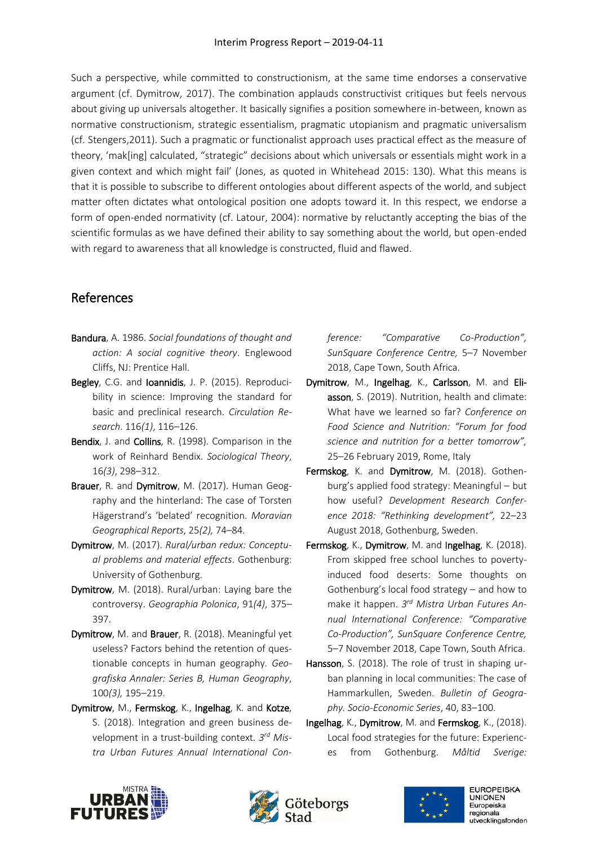Such a perspective, while committed to constructionism, at the same time endorses a conservative argument (cf. Dymitrow, 2017). The combination applauds constructivist critiques but feels nervous about giving up universals altogether. It basically signifies a position somewhere in-between, known as normative constructionism, strategic essentialism, pragmatic utopianism and pragmatic universalism (cf. Stengers,2011). Such a pragmatic or functionalist approach uses practical effect as the measure of theory, 'mak[ing] calculated, "strategic" decisions about which universals or essentials might work in a given context and which might fail' (Jones, as quoted in Whitehead 2015: 130). What this means is that it is possible to subscribe to different ontologies about different aspects of the world, and subject matter often dictates what ontological position one adopts toward it. In this respect, we endorse a form of open-ended normativity (cf. Latour, 2004): normative by reluctantly accepting the bias of the scientific formulas as we have defined their ability to say something about the world, but open-ended with regard to awareness that all knowledge is constructed, fluid and flawed.

## References

- Bandura, A. 1986. *Social foundations of thought and action: A social cognitive theory*. Englewood Cliffs, NJ: Prentice Hall.
- Begley, C.G. and Ioannidis, J. P. (2015). Reproducibility in science: Improving the standard for basic and preclinical research. *Circulation Research*. 116*(1)*, 116–126.
- Bendix, J. and Collins, R. (1998). Comparison in the work of Reinhard Bendix. *Sociological Theory*, 16*(3)*, 298–312.
- Brauer, R. and Dymitrow, M. (2017). Human Geography and the hinterland: The case of Torsten Hägerstrand's 'belated' recognition. *Moravian Geographical Reports*, 25*(2),* 74–84.
- Dymitrow, M. (2017). *Rural/urban redux: Conceptual problems and material effects*. Gothenburg: University of Gothenburg.
- Dymitrow, M. (2018). Rural/urban: Laying bare the controversy. *Geographia Polonica*, 91*(4)*, 375– 397.
- Dymitrow, M. and Brauer, R. (2018). Meaningful yet useless? Factors behind the retention of questionable concepts in human geography*. Geografiska Annaler: Series B, Human Geography*, 100*(3),* 195–219.
- Dymitrow, M., Fermskog, K., Ingelhag, K. and Kotze, S. (2018). Integration and green business development in a trust-building context. *3 rd Mistra Urban Futures Annual International Con-*

*ference: "Comparative Co-Production", SunSquare Conference Centre,* 5–7 November 2018, Cape Town, South Africa.

- Dymitrow, M., Ingelhag, K., Carlsson, M. and Eliasson, S. (2019). Nutrition, health and climate: What have we learned so far? *Conference on Food Science and Nutrition: "Forum for food science and nutrition for a better tomorrow",*  25–26 February 2019, Rome, Italy
- Fermskog, K. and Dymitrow, M. (2018). Gothenburg's applied food strategy: Meaningful – but how useful? *Development Research Conference 2018: "Rethinking development",* 22–23 August 2018, Gothenburg, Sweden.
- Fermskog, K., Dymitrow, M. and Ingelhag, K. (2018). From skipped free school lunches to povertyinduced food deserts: Some thoughts on Gothenburg's local food strategy – and how to make it happen. *3 rd Mistra Urban Futures Annual International Conference: "Comparative Co-Production", SunSquare Conference Centre,*  5–7 November 2018, Cape Town, South Africa.
- Hansson, S. (2018). The role of trust in shaping urban planning in local communities: The case of Hammarkullen, Sweden. *Bulletin of Geography. Socio-Economic Series*, 40, 83–100.
- Ingelhag, K., Dymitrow, M. and Fermskog, K., (2018). Local food strategies for the future: Experiences from Gothenburg. *Måltid Sverige:*